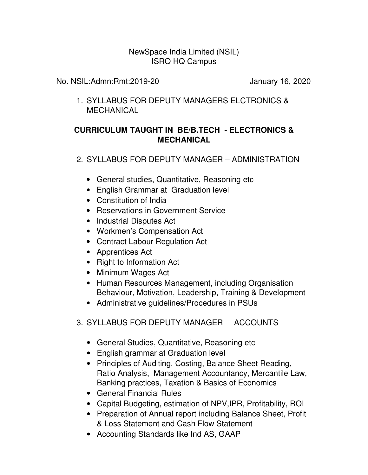## NewSpace India Limited (NSIL) ISRO HQ Campus

No. NSIL:Admn:Rmt:2019-20 January 16, 2020

1. SYLLABUS FOR DEPUTY MANAGERS ELCTRONICS & MECHANICAL

## **CURRICULUM TAUGHT IN BE/B.TECH - ELECTRONICS & MECHANICAL**

2. SYLLABUS FOR DEPUTY MANAGER – ADMINISTRATION

- General studies, Quantitative, Reasoning etc
- English Grammar at Graduation level
- Constitution of India
- Reservations in Government Service
- Industrial Disputes Act
- Workmen's Compensation Act
- Contract Labour Regulation Act
- Apprentices Act
- Right to Information Act
- Minimum Wages Act
- Human Resources Management, including Organisation Behaviour, Motivation, Leadership, Training & Development
- Administrative guidelines/Procedures in PSUs
- 3. SYLLABUS FOR DEPUTY MANAGER ACCOUNTS
	- General Studies, Quantitative, Reasoning etc
	- English grammar at Graduation level
	- Principles of Auditing, Costing, Balance Sheet Reading, Ratio Analysis, Management Accountancy, Mercantile Law, Banking practices, Taxation & Basics of Economics
	- General Financial Rules
	- Capital Budgeting, estimation of NPV,IPR, Profitability, ROI
	- Preparation of Annual report including Balance Sheet, Profit & Loss Statement and Cash Flow Statement
	- Accounting Standards like Ind AS, GAAP